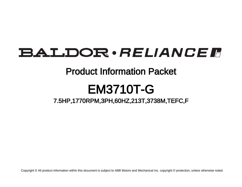## **BALDOR** · RELIANCE F

### Product Information Packet

# EM3710T-G

7.5HP,1770RPM,3PH,60HZ,213T,3738M,TEFC,F

Copyright © All product information within this document is subject to ABB Motors and Mechanical Inc. copyright © protection, unless otherwise noted.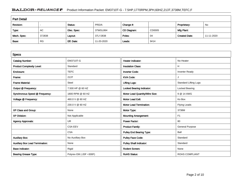### BALDOR · RELIANCE F Product Information Packet: EM3710T-G - 7.5HP,1770RPM,3PH,60HZ,213T,3738M,TEFC,F

| <b>Part Detail</b> |           |             |            |             |        |                      |            |  |
|--------------------|-----------|-------------|------------|-------------|--------|----------------------|------------|--|
| Revision:          |           | Status:     | PRD/A      | Change #:   |        | Proprietary:         | No         |  |
| Type:              | <b>AC</b> | Elec. Spec: | 37WGL864   | CD Diagram: | CD0005 | Mfg Plant:           |            |  |
| Mech. Spec:        | 37J838    | Layout:     | 37LYJ838   | Poles:      | 04     | <b>Created Date:</b> | 11-11-2020 |  |
| Base:              | <b>RG</b> | Eff. Date:  | 11-20-2020 | Leads:      | 9#14   |                      |            |  |

| <b>Specs</b>                           |                         |                                  |                              |
|----------------------------------------|-------------------------|----------------------------------|------------------------------|
| <b>Catalog Number:</b>                 | <b>EM3710T-G</b>        | <b>Heater Indicator:</b>         | No Heater                    |
| <b>Product Complexity Level:</b>       | Standard                | <b>Insulation Class:</b>         | н                            |
| Enclosure:                             | <b>TEFC</b>             | <b>Inverter Code:</b>            | <b>Inverter Ready</b>        |
| Frame:                                 | 213T                    | <b>KVA Code:</b>                 |                              |
| <b>Frame Material:</b>                 | Steel                   | <b>Lifting Lugs:</b>             | <b>Standard Lifting Lugs</b> |
| Output @ Frequency:                    | 7.500 HP @ 60 HZ        | <b>Locked Bearing Indicator:</b> | Locked Bearing               |
| Synchronous Speed @ Frequency:         | 1800 RPM @ 60 HZ        | Motor Lead Quantity/Wire Size:   | 9 @ 14 AWG                   |
| Voltage @ Frequency:                   | 460.0 V @ 60 HZ         | <b>Motor Lead Exit:</b>          | Ko Box                       |
|                                        | 230.0 V @ 60 HZ         | <b>Motor Lead Termination:</b>   | <b>Flying Leads</b>          |
| XP Class and Group:                    | None                    | Motor Type:                      | 3738M                        |
| <b>XP Division:</b>                    | Not Applicable          | <b>Mounting Arrangement:</b>     | F <sub>1</sub>               |
| <b>Agency Approvals:</b>               | <b>UR</b>               | <b>Power Factor:</b>             | 80                           |
|                                        | <b>CSA EEV</b>          | <b>Product Family:</b>           | <b>General Purpose</b>       |
|                                        | <b>CSA</b>              | <b>Pulley End Bearing Type:</b>  | Ball                         |
| <b>Auxillary Box:</b>                  | No Auxillary Box        | <b>Pulley Face Code:</b>         | Standard                     |
| <b>Auxillary Box Lead Termination:</b> | None                    | <b>Pulley Shaft Indicator:</b>   | Standard                     |
| <b>Base Indicator:</b>                 | Rigid                   | <b>Rodent Screen:</b>            | None                         |
| <b>Bearing Grease Type:</b>            | Polyrex EM (-20F +300F) | <b>RoHS Status:</b>              | <b>ROHS COMPLIANT</b>        |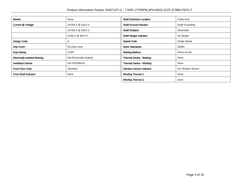| Blower:                               | None                      | <b>Shaft Extension Location:</b>   | Pulley End          |  |
|---------------------------------------|---------------------------|------------------------------------|---------------------|--|
| Current @ Voltage:                    | 19.000 A @ 230.0 V        | <b>Shaft Ground Indicator:</b>     | Shaft Grounding     |  |
|                                       | 20.000 A @ 208.0 V        | <b>Shaft Rotation:</b>             | Reversible          |  |
|                                       | 9.500 A @ 460.0 V         | <b>Shaft Slinger Indicator:</b>    | No Slinger          |  |
| Design Code:                          | A                         | <b>Speed Code:</b>                 | Single Speed        |  |
| Drip Cover:                           | No Drip Cover             | <b>Motor Standards:</b>            | <b>NEMA</b>         |  |
| Duty Rating:                          | <b>CONT</b>               | <b>Starting Method:</b>            | Direct on line      |  |
| <b>Electrically Isolated Bearing:</b> | Not Electrically Isolated | Thermal Device - Bearing:          | None                |  |
| <b>Feedback Device:</b>               | NO FEEDBACK               | <b>Thermal Device - Winding:</b>   | None                |  |
| <b>Front Face Code:</b>               | Standard                  | <b>Vibration Sensor Indicator:</b> | No Vibration Sensor |  |
| Front Shaft Indicator:                | None                      | <b>Winding Thermal 1:</b>          | None                |  |
|                                       |                           | <b>Winding Thermal 2:</b>          | None                |  |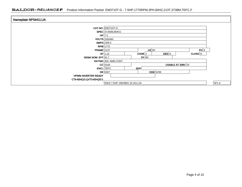#### BALDOR · RELIANCE F Product Information Packet: EM3710T-G - 7.5HP,1770RPM,3PH,60HZ,213T,3738M,TEFC,F

| Nameplate NP3441LUA        |                                       |       |
|----------------------------|---------------------------------------|-------|
|                            |                                       |       |
|                            | <b>CAT.NO. EM3710T-G</b>              |       |
|                            | SPEC 37J838L864G1                     |       |
|                            | $HP$ 7.5                              |       |
|                            | VOLTS 230/460                         |       |
|                            | AMPS $19/9.5$                         |       |
|                            | <b>RPM</b> 1770                       |       |
| <b>FRAME 213T</b>          | $HZ$ 60<br>PH 3                       |       |
|                            | DES A<br>$SF$ 1.15<br>CODE<br>CLASS H |       |
| NEMA NOM. EFF 91.7         | PF 80                                 |       |
|                            | RATING 40C AMB-CONT                   |       |
|                            | USABLE AT $208V$ 20<br>$CC$ 010A      |       |
|                            | SER<br><b>ENCL</b> TEFC               |       |
|                            | $DE$ 6307<br><b>ODE</b> 6206          |       |
| <b>VPWM INVERTER READY</b> |                                       |       |
| CT6-60H(10:1)VT3-60H(20:1  |                                       |       |
|                            | 50HZ 7.5HP 190/380V 22.4/11.2A        | SF1.0 |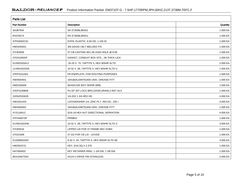| <b>Parts List</b>  |                                            |          |  |  |  |
|--------------------|--------------------------------------------|----------|--|--|--|
| <b>Part Number</b> | <b>Description</b>                         | Quantity |  |  |  |
| SA387934           | SA 37J838L864G1                            | 1.000 EA |  |  |  |
| RA378274           | RA 37J838L864G1                            | 1.000 EA |  |  |  |
| 37FN3002C01        | EXFN, PLASTIC, 6.00 OD, 1.155 ID           | 1.000 EA |  |  |  |
| HW3200A01          | 3/8-16X3/4 I-BLT WELDED F/S                | 1.000 EA |  |  |  |
| 37CB3006           | 37 CB CASTING W/1.38 LEAD HOLE @ 6:00      | 1.000 EA |  |  |  |
| 37GS1000SP         | GASKET, CONDUIT BOX STD., .06 THICK LEXI   | 1.000 EA |  |  |  |
| 51XW2520A12        | .25-20 X .75, TAPTITE II, HEX WSHR SLTD    | 2.000 EA |  |  |  |
| 11XW1032G06        | 10-32 X .38, TAPTITE II, HEX WSHR SLTD U   | 1.000 EA |  |  |  |
| 37EP3101A01        | FR ENDPLATE, FOR ROUTING PURPOSES          | 1.000 EA |  |  |  |
| HW4500A01          | 1641B(ALEMITE)400 UNIV, GREASE FITT        | 1.000 EA |  |  |  |
| HW5100A06          | W2420-025 WVY WSHR (WB)                    | 1.000 EA |  |  |  |
| 37EP3100B06        | PU EP 307 LOCK BRG, GRSR, DRAIN, 2 RET HLS | 1.000 EA |  |  |  |
| 10XN2520A28        | 1/4-20X 1 3/4 HEX HD                       | 4.000 EA |  |  |  |
| HW1001A25          | LOCKWASHER 1/4, ZINC PLT .493 OD, .255 I   | 4.000 EA |  |  |  |
| HW4500A01          | 1641B(ALEMITE)400 UNIV, GREASE FITT        | 1.000 EA |  |  |  |
| XY3118A12          | 5/16-18 HEX NUT DIRECTIONAL SERRATION      | 4.000 EA |  |  |  |
| 07FH4007SP         | PRIMED                                     | 1.000 EA |  |  |  |
| 51XW1032A06        | 10-32 X .38, TAPTITE II, HEX WSHR SLTD S   | 3.000 EA |  |  |  |
| 37CB4516           | LIPPED LID FOR 37 FRAME NEC KOBX           | 1.000 EA |  |  |  |
| 37GS1008           | 37 GS FOR CB LID - LEXIDE                  | 1.000 EA |  |  |  |
| 51XW0832A07        | 8-32 X .44, TAPTITE II, HEX WSHR SLTD SE   | 4.000 EA |  |  |  |
| HW2501F21          | KEY, 5/16 SQ X 2.375                       | 1.000 EA |  |  |  |
| HA7000A02          | KEY RETAINER RING, 1 1/8 DIA, 1 3/8 DIA    | 1.000 EA |  |  |  |
| 85XU0407S04        | 4X1/4 U DRIVE PIN STAINLESS                | 2.000 EA |  |  |  |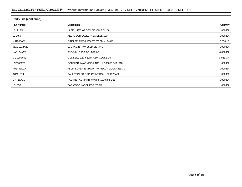| <b>Parts List (continued)</b> |                                          |          |  |  |  |  |
|-------------------------------|------------------------------------------|----------|--|--|--|--|
| <b>Part Number</b>            | <b>Description</b>                       | Quantity |  |  |  |  |
| LB1115N                       | LABEL, LIFTING DEVICE (ON ROLLS)         | 1.000 EA |  |  |  |  |
| LB1459                        | AEGIS SGR LABEL "AEGISLBL-100"           | 1.000 EA |  |  |  |  |
| MJ1000A02                     | GREASE, MOBIL POLYREX EM - 124047        | 0.050 LB |  |  |  |  |
| 51XB1214A20                   | 12-14X1.25 HXWSSLD SERTYB                | 1.000 EA |  |  |  |  |
| HA3104A17                     | 5/16-18X13.250 T-BLT/OHIO                | 4.000 EA |  |  |  |  |
| MG1000Y03                     | MUNSELL 2.53Y 6.70/ 4.60, GLOSS 20,      | 0.028 GA |  |  |  |  |
| LC0005E01                     | CONN.DIA./WARNING LABEL (LC0005/LB1119N) | 1.000 EA |  |  |  |  |
| NP3441LUA                     | ALUM SUPER-E VPWM INV READY UL CSA-EEV C | 1.000 EA |  |  |  |  |
| 37PA1074                      | PALLET PACK GRP, PRINT BOX PK1026A06     | 1.000 EA |  |  |  |  |
| MN416A01                      | TAG-INSTAL-MAINT no wire (1200/bx) 1/21  | 1.000 EA |  |  |  |  |
| LB1350                        | BAR CODE LABEL FOR YORK                  | 1.000 EA |  |  |  |  |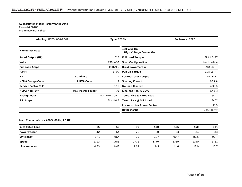#### **AC Induction Motor Performance Data**

Record # 86486Preliminary Data Sheet

| Type: 3738M<br><b>Winding: 37WGL864-R002</b> |                   | <b>Enclosure: TEFC</b> |                                                 |                          |
|----------------------------------------------|-------------------|------------------------|-------------------------------------------------|--------------------------|
| <b>Nameplate Data</b>                        |                   |                        | 460 V, 60 Hz:<br><b>High Voltage Connection</b> |                          |
| <b>Rated Output (HP)</b>                     |                   | 7.5                    | <b>Full Load Torque</b>                         | 22.2 LB-FT               |
| <b>Volts</b>                                 |                   | 230/460                | <b>Start Configuration</b>                      | direct on line           |
| <b>Full Load Amps</b>                        |                   | 19.0/9.5               | <b>Breakdown Torque</b>                         | 69.8 LB-FT               |
| <b>R.P.M.</b>                                |                   | 1770                   | <b>Pull-up Torque</b>                           | 31.5 LB-FT               |
| Hz                                           | 60 Phase          | 3                      | <b>Locked-rotor Torque</b>                      | 41 LB-FT                 |
| <b>NEMA Design Code</b>                      | A KVA Code        |                        | <b>Starting Current</b>                         | 70.7 A                   |
| <b>Service Factor (S.F.)</b>                 |                   | 1.15                   | <b>No-load Current</b>                          | 4.32 A                   |
| <b>NEMA Nom. Eff.</b>                        | 91.7 Power Factor | 80                     | Line-line Res. $@$ 25 $°C$                      | $1.48\,\Omega$           |
| <b>Rating - Duty</b>                         |                   | 40C AMB-CONT           | Temp. Rise @ Rated Load                         | $64^{\circ}$ C           |
| S.F. Amps                                    |                   | 21.4/10.7              | Temp. Rise @ S.F. Load                          | $84^{\circ}$ C           |
|                                              |                   |                        | <b>Locked-rotor Power Factor</b>                | 41.9                     |
|                                              |                   |                        | Rotor inertia                                   | 0.934 lb-ft <sup>2</sup> |

#### **Load Characteristics 460 V, 60 Hz, 7.5 HP**

| % of Rated Load     | 25   | 50   | 75   | 100  | 125  | 150  | S.F. |
|---------------------|------|------|------|------|------|------|------|
| <b>Power Factor</b> | 42   | 64   | 75   | 80   | 83   | 84   | 83   |
| <b>Efficiency</b>   | 87.1 | 91.4 | 92   | 91.7 | 90.7 | 89.6 | 90.7 |
| <b>Speed</b>        | 1793 | 1786 | 1778 | 1770 | 1760 | 1750 | 1761 |
| Line amperes        | 4.83 | 6.03 | 7.64 | 9.5  | 11.6 | 13.9 | 10.7 |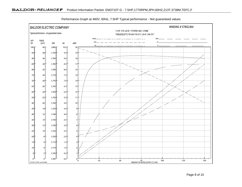

Performance Graph at 460V, 60Hz, 7.5HP Typical performance - Not guaranteed values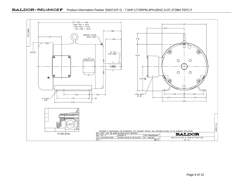